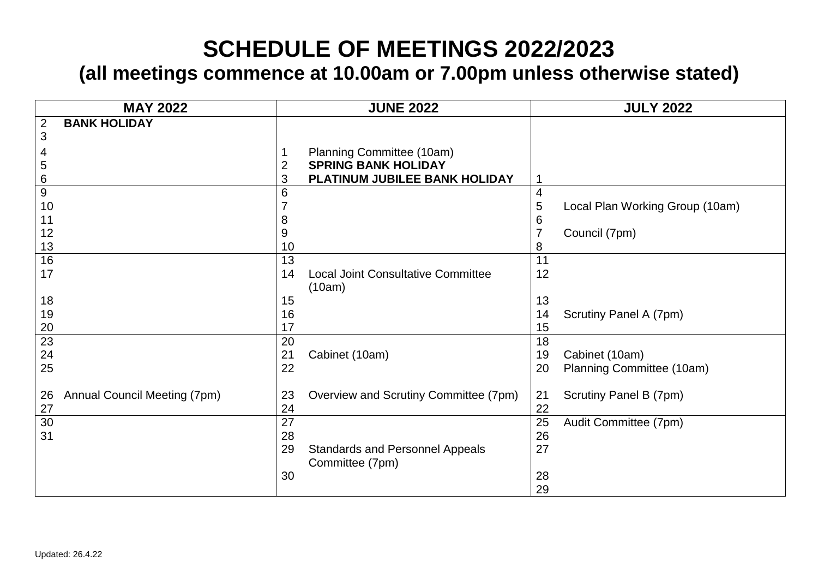## **SCHEDULE OF MEETINGS 2022/2023**

## **(all meetings commence at 10.00am or 7.00pm unless otherwise stated)**

| <b>MAY 2022</b>                       | <b>JUNE 2022</b>                                                | <b>JULY 2022</b>                     |
|---------------------------------------|-----------------------------------------------------------------|--------------------------------------|
| <b>BANK HOLIDAY</b><br>$\overline{2}$ |                                                                 |                                      |
| 3                                     |                                                                 |                                      |
| 4                                     | Planning Committee (10am)                                       |                                      |
| 5                                     | <b>SPRING BANK HOLIDAY</b><br>$\overline{2}$                    |                                      |
| 6                                     | 3<br>PLATINUM JUBILEE BANK HOLIDAY                              |                                      |
| $9\,$                                 | 6                                                               | 4                                    |
| 10                                    |                                                                 | 5<br>Local Plan Working Group (10am) |
| 11                                    | 8                                                               | 6                                    |
| 12                                    | 9                                                               | Council (7pm)                        |
| 13                                    | 10                                                              | 8                                    |
| 16                                    | 13                                                              | 11                                   |
| 17                                    | <b>Local Joint Consultative Committee</b><br>14<br>(10am)       | 12                                   |
| 18                                    | 15                                                              | 13                                   |
| 19                                    | 16                                                              | Scrutiny Panel A (7pm)<br>14         |
| 20                                    | 17                                                              | 15                                   |
| 23                                    | 20                                                              | 18                                   |
| 24                                    | 21<br>Cabinet (10am)                                            | Cabinet (10am)<br>19                 |
| 25                                    | 22                                                              | 20<br>Planning Committee (10am)      |
| Annual Council Meeting (7pm)<br>26    | 23<br>Overview and Scrutiny Committee (7pm)                     | 21<br>Scrutiny Panel B (7pm)         |
| 27                                    | 24                                                              | 22                                   |
| 30                                    | 27                                                              | 25<br>Audit Committee (7pm)          |
| 31                                    | 28                                                              | 26                                   |
|                                       | 29<br><b>Standards and Personnel Appeals</b><br>Committee (7pm) | 27                                   |
|                                       | 30                                                              | 28                                   |
|                                       |                                                                 | 29                                   |
|                                       |                                                                 |                                      |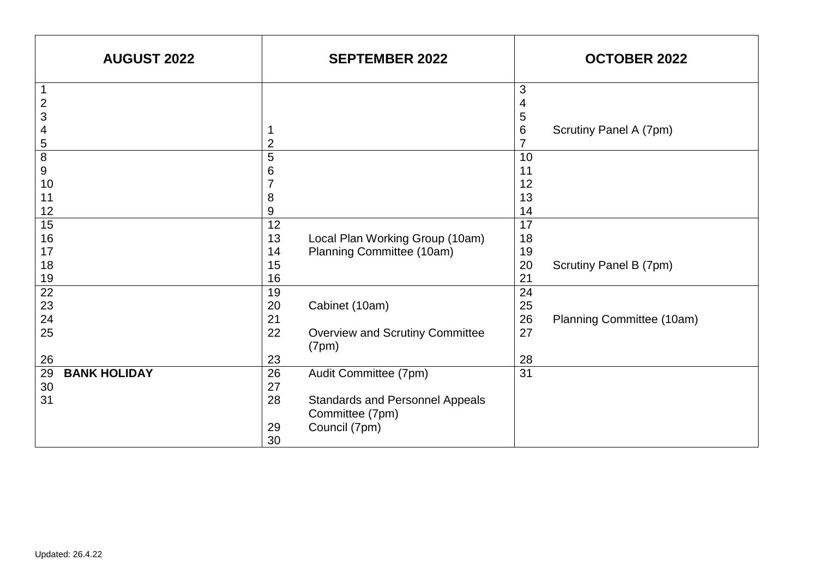| <b>AUGUST 2022</b>        |                | <b>SEPTEMBER 2022</b>                  |                | <b>OCTOBER 2022</b>       |
|---------------------------|----------------|----------------------------------------|----------------|---------------------------|
| 1                         |                |                                        | $\mathsf 3$    |                           |
| $\overline{c}$<br>3       |                |                                        | 4<br>5         |                           |
| 4                         |                |                                        | 6              | Scrutiny Panel A (7pm)    |
| 5                         | $\overline{2}$ |                                        | $\overline{7}$ |                           |
| $\overline{8}$            | 5              |                                        | 10             |                           |
| $\boldsymbol{9}$          | 6              |                                        | 11             |                           |
| 10                        | $\overline{7}$ |                                        | 12             |                           |
| 11                        | 8              |                                        | 13             |                           |
| 12                        | 9              |                                        | 14             |                           |
| $\overline{15}$           | 12             |                                        | 17             |                           |
| 16                        | 13             | Local Plan Working Group (10am)        | 18             |                           |
| 17                        | 14             | Planning Committee (10am)              | 19             |                           |
| 18                        | 15             |                                        | 20             | Scrutiny Panel B (7pm)    |
| 19<br>$\overline{22}$     | 16             |                                        | 21             |                           |
| 23                        | 19<br>20       | Cabinet (10am)                         | 24<br>25       |                           |
| 24                        | 21             |                                        | 26             | Planning Committee (10am) |
| 25                        | 22             | <b>Overview and Scrutiny Committee</b> | 27             |                           |
|                           |                | (7pm)                                  |                |                           |
| 26                        | 23             |                                        | 28             |                           |
| 29<br><b>BANK HOLIDAY</b> | 26             | Audit Committee (7pm)                  | 31             |                           |
| $30\,$                    | 27             |                                        |                |                           |
| 31                        | 28             | <b>Standards and Personnel Appeals</b> |                |                           |
|                           |                | Committee (7pm)                        |                |                           |
|                           | 29             | Council (7pm)                          |                |                           |
|                           | 30             |                                        |                |                           |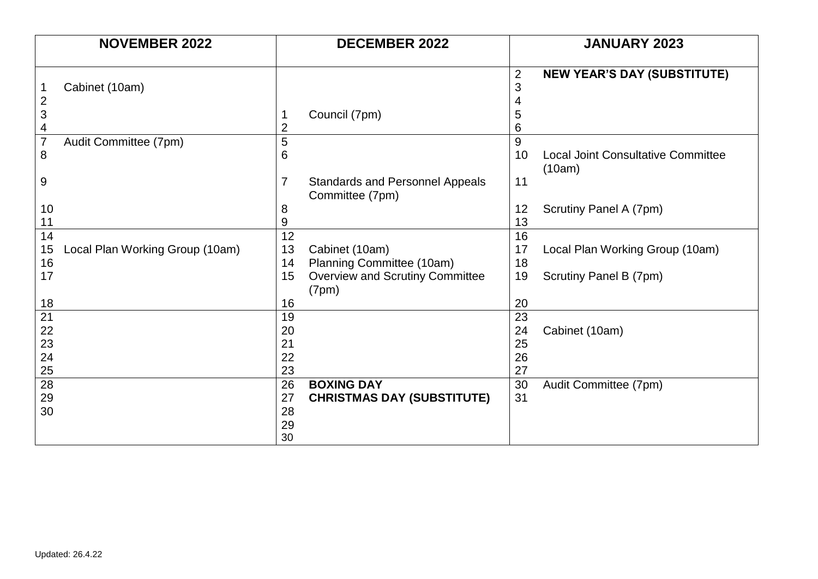| <b>NOVEMBER 2022</b>                    | <b>DECEMBER 2022</b>                                                        | <b>JANUARY 2023</b>                                       |
|-----------------------------------------|-----------------------------------------------------------------------------|-----------------------------------------------------------|
|                                         |                                                                             | $\overline{2}$<br><b>NEW YEAR'S DAY (SUBSTITUTE)</b>      |
| Cabinet (10am)                          |                                                                             | 3                                                         |
| $\frac{2}{3}$                           |                                                                             | 4                                                         |
|                                         | Council (7pm)<br>$\mathbf 1$                                                | 5                                                         |
| $\overline{\mathcal{A}}$                | $\overline{2}$                                                              | 6                                                         |
| $\overline{7}$<br>Audit Committee (7pm) | 5                                                                           | 9                                                         |
| 8                                       | 6                                                                           | 10<br><b>Local Joint Consultative Committee</b><br>(10am) |
| 9                                       | $\overline{7}$<br><b>Standards and Personnel Appeals</b><br>Committee (7pm) | 11                                                        |
| 10                                      | 8                                                                           | Scrutiny Panel A (7pm)<br>12                              |
| 11                                      | 9                                                                           | 13                                                        |
| 14                                      | 12                                                                          | 16                                                        |
| Local Plan Working Group (10am)<br>15   | 13<br>Cabinet (10am)                                                        | 17<br>Local Plan Working Group (10am)                     |
| 16                                      | Planning Committee (10am)<br>14                                             | 18                                                        |
| 17                                      | 15<br>Overview and Scrutiny Committee<br>(7pm)                              | 19<br>Scrutiny Panel B (7pm)                              |
| 18                                      | 16                                                                          | 20                                                        |
| $\overline{21}$                         | 19                                                                          | 23                                                        |
| 22                                      | 20                                                                          | 24<br>Cabinet (10am)                                      |
| 23                                      | 21                                                                          | 25                                                        |
| 24                                      | 22                                                                          | 26                                                        |
| 25                                      | 23                                                                          | 27                                                        |
| $\overline{28}$                         | 26<br><b>BOXING DAY</b>                                                     | 30<br>Audit Committee (7pm)                               |
| 29                                      | 27<br><b>CHRISTMAS DAY (SUBSTITUTE)</b>                                     | 31                                                        |
| 30                                      | 28                                                                          |                                                           |
|                                         | 29<br>30                                                                    |                                                           |
|                                         |                                                                             |                                                           |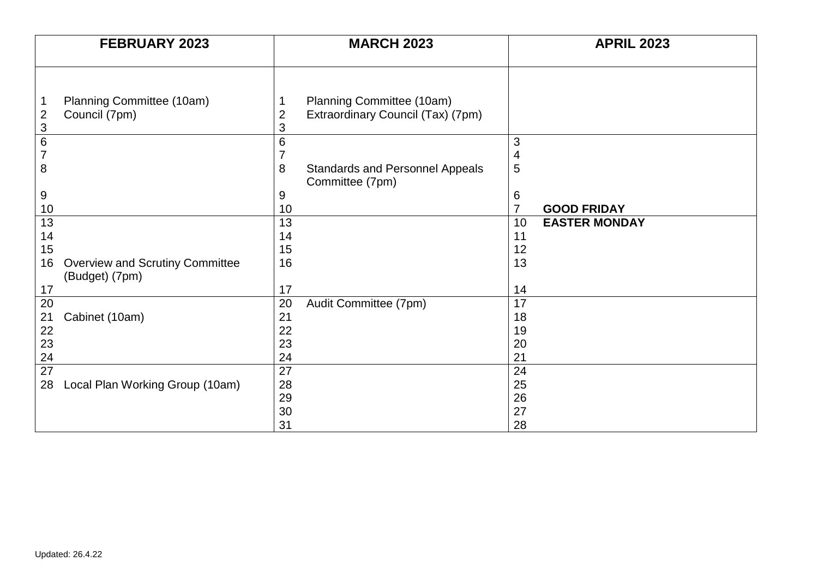|                           | <b>FEBRUARY 2023</b>                                     |                       | <b>MARCH 2023</b>                                         |                | <b>APRIL 2023</b>    |
|---------------------------|----------------------------------------------------------|-----------------------|-----------------------------------------------------------|----------------|----------------------|
|                           |                                                          |                       |                                                           |                |                      |
| $\mathbf 1$               | Planning Committee (10am)                                |                       | Planning Committee (10am)                                 |                |                      |
| $\mathbf{2}$              | Council (7pm)                                            | 2                     | Extraordinary Council (Tax) (7pm)                         |                |                      |
| $\ensuremath{\mathsf{3}}$ |                                                          | 3                     |                                                           |                |                      |
| $\overline{6}$            |                                                          | 6                     |                                                           | $\mathfrak{S}$ |                      |
| $\overline{7}$            |                                                          | 7                     |                                                           | $\overline{4}$ |                      |
| 8                         |                                                          | 8                     | <b>Standards and Personnel Appeals</b><br>Committee (7pm) | $\overline{5}$ |                      |
| 9                         |                                                          | 9                     |                                                           | 6              |                      |
| 10                        |                                                          | 10                    |                                                           | $\overline{7}$ | <b>GOOD FRIDAY</b>   |
| 13                        |                                                          | 13                    |                                                           | 10             | <b>EASTER MONDAY</b> |
| 14                        |                                                          | 14                    |                                                           | 11             |                      |
| 15                        |                                                          | 15                    |                                                           | 12             |                      |
| 16                        | <b>Overview and Scrutiny Committee</b><br>(Budget) (7pm) | 16                    |                                                           | 13             |                      |
| 17                        |                                                          | 17                    |                                                           | 14             |                      |
| 20                        |                                                          | 20                    | Audit Committee (7pm)                                     | 17             |                      |
| 21                        | Cabinet (10am)                                           | 21                    |                                                           | 18             |                      |
| 22                        |                                                          | 22                    |                                                           | 19             |                      |
| 23                        |                                                          | 23                    |                                                           | 20             |                      |
| 24<br>27                  |                                                          | 24<br>$\overline{27}$ |                                                           | 21             |                      |
| 28                        |                                                          | 28                    |                                                           | 24<br>25       |                      |
|                           | Local Plan Working Group (10am)                          | 29                    |                                                           | 26             |                      |
|                           |                                                          | 30                    |                                                           | 27             |                      |
|                           |                                                          | 31                    |                                                           | 28             |                      |